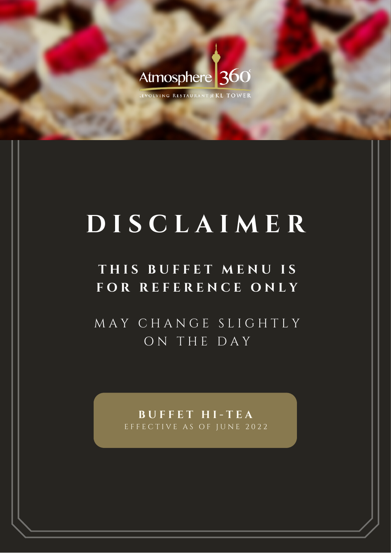

EVOLVING RESTAURANT @ KL TOWER

# **D I S C L A I M E R**

## **T H I S B U F F E T M E N U I S F O R R E F E R E N C E O N L Y**

M A Y C H A N G E S L I G H T L Y O N T H E D A Y

> **B U F F E T H I - T E A** EFFECTIVE AS OF JUNE 2022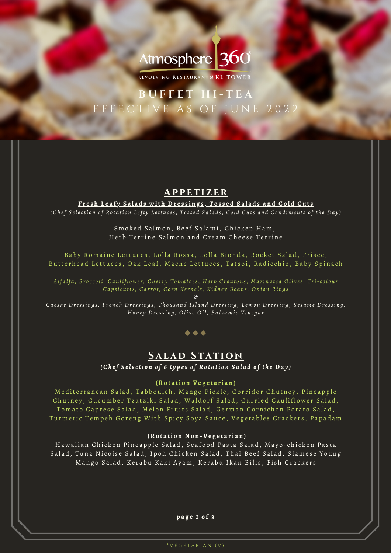## Atmosphere 360

LEVOLVING RESTAURANT @ KL TOWER

### **B U F F E T H I - T E A** E F F E C T I V E A S O F J U N E 2 0 2 2

#### **A p p e t izer**

Fresh Leafy Salads with Dressings, Tossed Salads and Cold Cuts <u>(Chef Selection of Rotation Lefty Lettuces, Tossed Salads, Cold Cuts and Condiments of the Day)</u>

> Smoked Salmon, Beef Salami, Chicken Ham, Herb Terrine Salmon and Cream Cheese Terrine

Baby Romaine Lettuces, Lolla Rossa, Lolla Bionda, Rocket Salad, Frisee, Butterhead Lettuces, Oak Leaf, Mache Lettuces, Tatsoi, Radicchio, Baby Spinach

Alfalfa, Broccoli, Cauliflower, Cherry Tomatoes, Herb Croutons, Marinated Olives, Tri-colour Capsicums, Carrot, Corn Kernels, Kidney Beans, Onion Rings

*&*

Caesar Dressings, French Dressings, Thousand Island Dressing, Lemon Dressing, Sesame Dressing, Honey Dressing, Olive Oil, Balsamic Vinegar

#### $\bullet\bullet\bullet$

#### **SALAD STATION** (Chef Selection of 6 types of Rotation Salad of the Day)

#### **(Ro t a ti o n Ve g e t a r i a n )**

Mediterranean Salad, Tabbouleh, Mango Pickle, Corridor Chutney, Pineapple Chutney, Cucumber Tzatziki Salad, Waldorf Salad, Curried Cauliflower Salad, Tomato Caprese Salad, Melon Fruits Salad, German Cornichon Potato Salad, Turmeric Tempeh Goreng With Spicy Soya Sauce, Vegetables Crackers, Papadam

#### **(Ro t a ti o n N o n -Ve g e t a r i a n )**

Hawaiian Chicken Pineapple Salad, Seafood Pasta Salad, Mayo-chicken Pasta Salad, Tuna Nicoise Salad, Ipoh Chicken Salad, Thai Beef Salad, Siamese Young Mango Salad, Kerabu Kaki Ayam, Kerabu Ikan Bilis, Fish Crackers

#### **p a g e 1 o f 3**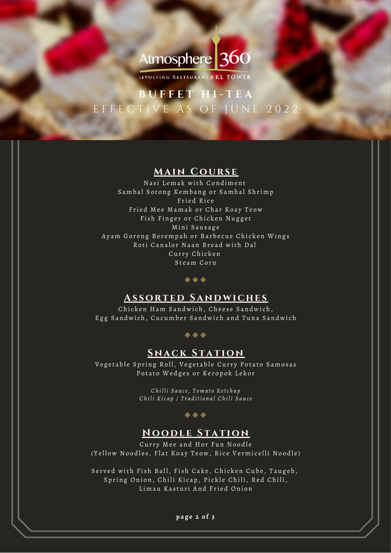## Atmosphere 360

LEVOLVING RESTAURANT @ KL TOWER

### **B U F F E T H I - T E A** E F F E C T I V E A S O F J U N E 2 0 2 2

#### **Main Cou rs e**

Nasi Lemak with Condiment Sambal Sotong Kembang or Sambal Shrimp Fried Rice Fried Mee Mamak or Char Koay Teow Fish Finger or Chicken Nugget Mini Sausage Ayam Goreng Berempah or Barbecue Chicken Wings Roti Canalor Naan Bread with Dal Curry Chicken Steam Corn

#### $\blacklozenge \blacklozenge \blacklozenge$

#### **A s sort e d Sand w iche s**

Chicken Ham Sandwich, Cheese Sandwich, Egg Sandwich, Cucumber Sandwich and Tuna Sandwich

#### $\bullet\hspace{0.1cm} \bullet\hspace{0.1cm} \bullet\hspace{0.1cm} \bullet$

#### **SNACK STATION**

Vegetable Spring Roll, Vegetable Curry Potato Samosas Potato Wedges or Keropok Lekor

> *Ch i l l i S a u ce, T o m a t o Ketc h u p* Chili Kicap / Traditional Chili Sauce

#### $\bullet\bullet\bullet$

#### **N ood l e S tat ion**

Curry Mee and Hor Fun Noodle ( Yellow Noodles, Flat Koay Teow, Rice Vermicelli Noodle)

Served with Fish Ball, Fish Cake, Chicken Cube, Taugeh, Spring Onion, Chili Kicap, Pickle Chili, Red Chili, Limau Kasturi And Fried Onion

#### **p a g e 2 o f 3**